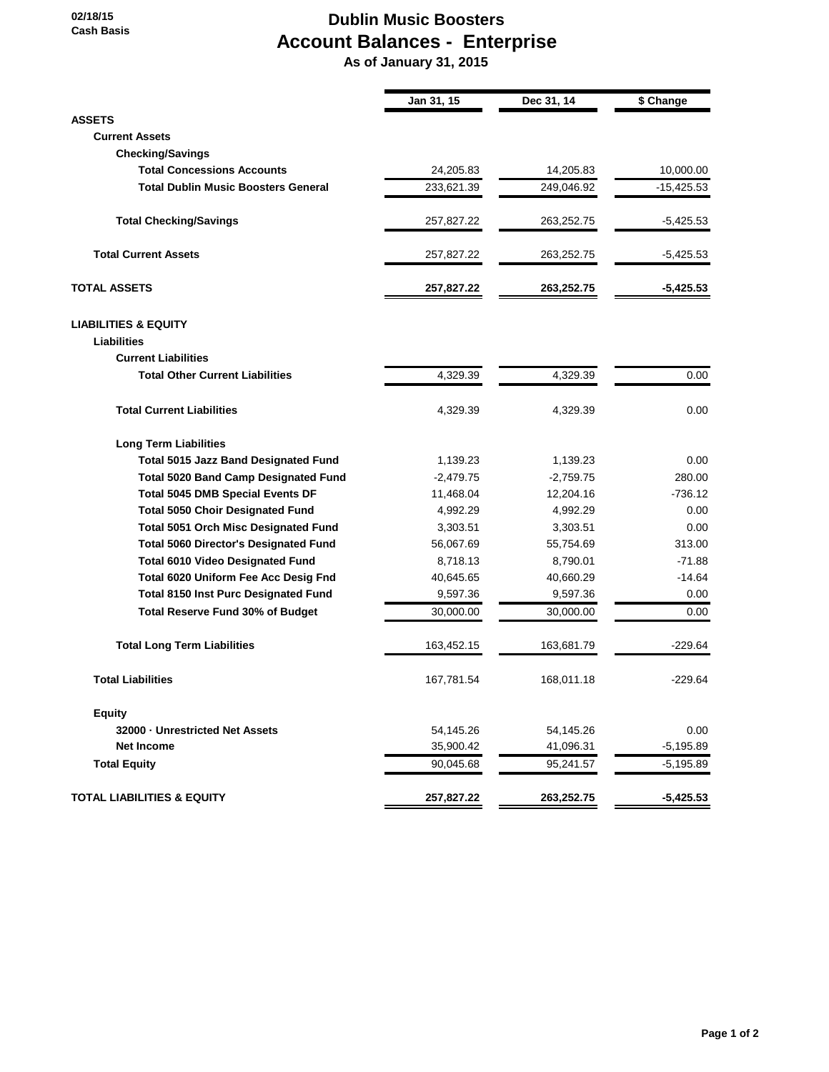## **Dublin Music Boosters Account Balances - Enterprise**

 **As of January 31, 2015**

|                                              | Jan 31, 15  | Dec 31, 14  | \$ Change    |
|----------------------------------------------|-------------|-------------|--------------|
| <b>ASSETS</b>                                |             |             |              |
| <b>Current Assets</b>                        |             |             |              |
| <b>Checking/Savings</b>                      |             |             |              |
| <b>Total Concessions Accounts</b>            | 24,205.83   | 14,205.83   | 10,000.00    |
| <b>Total Dublin Music Boosters General</b>   | 233,621.39  | 249,046.92  | $-15,425.53$ |
| <b>Total Checking/Savings</b>                | 257,827.22  | 263,252.75  | $-5,425.53$  |
| <b>Total Current Assets</b>                  | 257,827.22  | 263,252.75  | $-5,425.53$  |
| <b>TOTAL ASSETS</b>                          | 257,827.22  | 263,252.75  | $-5,425.53$  |
| <b>LIABILITIES &amp; EQUITY</b>              |             |             |              |
| Liabilities                                  |             |             |              |
| <b>Current Liabilities</b>                   |             |             |              |
| <b>Total Other Current Liabilities</b>       | 4,329.39    | 4,329.39    | 0.00         |
| <b>Total Current Liabilities</b>             | 4,329.39    | 4,329.39    | 0.00         |
| <b>Long Term Liabilities</b>                 |             |             |              |
| <b>Total 5015 Jazz Band Designated Fund</b>  | 1,139.23    | 1,139.23    | 0.00         |
| <b>Total 5020 Band Camp Designated Fund</b>  | $-2,479.75$ | $-2,759.75$ | 280.00       |
| <b>Total 5045 DMB Special Events DF</b>      | 11,468.04   | 12,204.16   | $-736.12$    |
| <b>Total 5050 Choir Designated Fund</b>      | 4,992.29    | 4,992.29    | 0.00         |
| Total 5051 Orch Misc Designated Fund         | 3,303.51    | 3,303.51    | 0.00         |
| <b>Total 5060 Director's Designated Fund</b> | 56,067.69   | 55,754.69   | 313.00       |
| <b>Total 6010 Video Designated Fund</b>      | 8,718.13    | 8,790.01    | $-71.88$     |
| Total 6020 Uniform Fee Acc Desig Fnd         | 40,645.65   | 40,660.29   | $-14.64$     |
| <b>Total 8150 Inst Purc Designated Fund</b>  | 9,597.36    | 9,597.36    | 0.00         |
| Total Reserve Fund 30% of Budget             | 30,000.00   | 30,000.00   | 0.00         |
| <b>Total Long Term Liabilities</b>           | 163,452.15  | 163,681.79  | $-229.64$    |
| <b>Total Liabilities</b>                     | 167,781.54  | 168,011.18  | $-229.64$    |
| <b>Equity</b>                                |             |             |              |
| 32000 - Unrestricted Net Assets              | 54,145.26   | 54,145.26   | 0.00         |
| <b>Net Income</b>                            | 35,900.42   | 41,096.31   | $-5,195.89$  |
| <b>Total Equity</b>                          | 90,045.68   | 95,241.57   | $-5,195.89$  |
| <b>TOTAL LIABILITIES &amp; EQUITY</b>        | 257,827.22  | 263,252.75  | $-5,425.53$  |